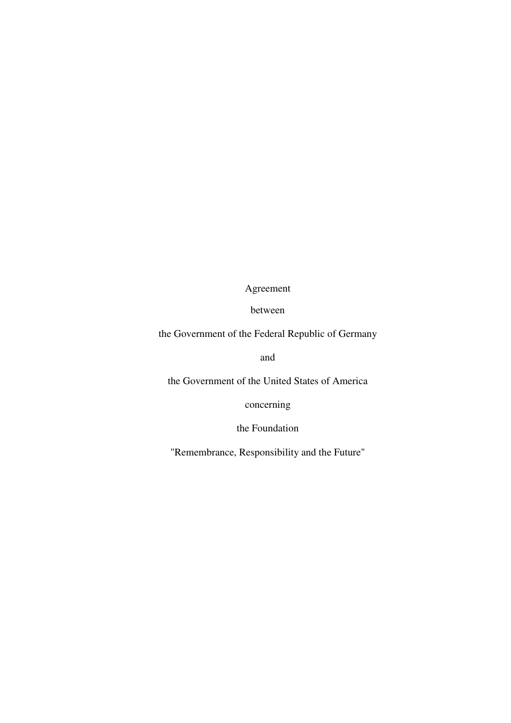Agreement

between

the Government of the Federal Republic of Germany

and

the Government of the United States of America

concerning

the Foundation

"Remembrance, Responsibility and the Future"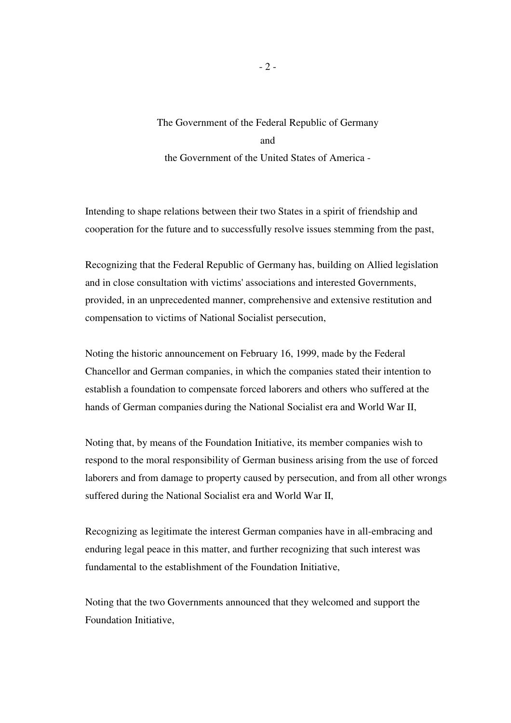The Government of the Federal Republic of Germany and the Government of the United States of America -

Intending to shape relations between their two States in a spirit of friendship and cooperation for the future and to successfully resolve issues stemming from the past,

Recognizing that the Federal Republic of Germany has, building on Allied legislation and in close consultation with victims' associations and interested Governments, provided, in an unprecedented manner, comprehensive and extensive restitution and compensation to victims of National Socialist persecution,

Noting the historic announcement on February 16, 1999, made by the Federal Chancellor and German companies, in which the companies stated their intention to establish a foundation to compensate forced laborers and others who suffered at the hands of German companies during the National Socialist era and World War II,

Noting that, by means of the Foundation Initiative, its member companies wish to respond to the moral responsibility of German business arising from the use of forced laborers and from damage to property caused by persecution, and from all other wrongs suffered during the National Socialist era and World War II,

Recognizing as legitimate the interest German companies have in all-embracing and enduring legal peace in this matter, and further recognizing that such interest was fundamental to the establishment of the Foundation Initiative,

Noting that the two Governments announced that they welcomed and support the Foundation Initiative,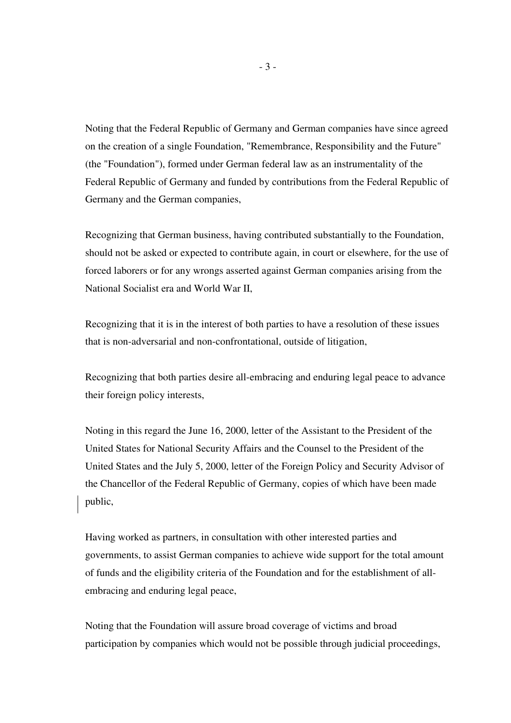Noting that the Federal Republic of Germany and German companies have since agreed on the creation of a single Foundation, "Remembrance, Responsibility and the Future" (the "Foundation"), formed under German federal law as an instrumentality of the Federal Republic of Germany and funded by contributions from the Federal Republic of Germany and the German companies,

Recognizing that German business, having contributed substantially to the Foundation, should not be asked or expected to contribute again, in court or elsewhere, for the use of forced laborers or for any wrongs asserted against German companies arising from the National Socialist era and World War II,

Recognizing that it is in the interest of both parties to have a resolution of these issues that is non-adversarial and non-confrontational, outside of litigation,

Recognizing that both parties desire all-embracing and enduring legal peace to advance their foreign policy interests,

Noting in this regard the June 16, 2000, letter of the Assistant to the President of the United States for National Security Affairs and the Counsel to the President of the United States and the July 5, 2000, letter of the Foreign Policy and Security Advisor of the Chancellor of the Federal Republic of Germany, copies of which have been made public,

Having worked as partners, in consultation with other interested parties and governments, to assist German companies to achieve wide support for the total amount of funds and the eligibility criteria of the Foundation and for the establishment of allembracing and enduring legal peace,

Noting that the Foundation will assure broad coverage of victims and broad participation by companies which would not be possible through judicial proceedings,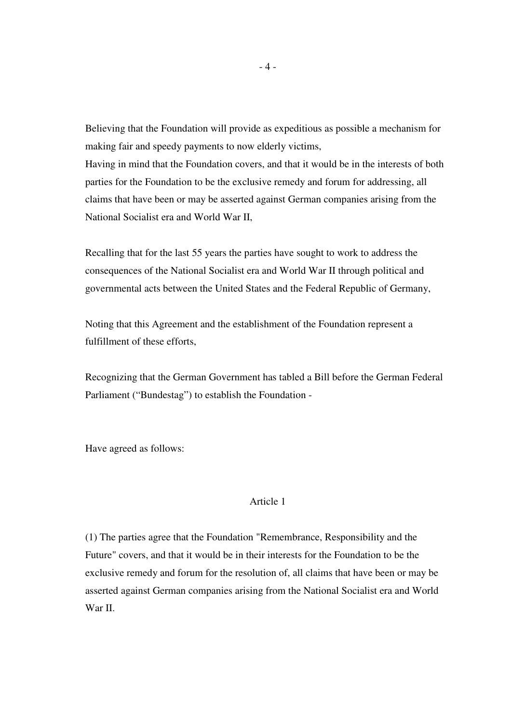Believing that the Foundation will provide as expeditious as possible a mechanism for making fair and speedy payments to now elderly victims, Having in mind that the Foundation covers, and that it would be in the interests of both parties for the Foundation to be the exclusive remedy and forum for addressing, all claims that have been or may be asserted against German companies arising from the National Socialist era and World War II,

Recalling that for the last 55 years the parties have sought to work to address the consequences of the National Socialist era and World War II through political and governmental acts between the United States and the Federal Republic of Germany,

Noting that this Agreement and the establishment of the Foundation represent a fulfillment of these efforts,

Recognizing that the German Government has tabled a Bill before the German Federal Parliament ("Bundestag") to establish the Foundation -

Have agreed as follows:

## Article 1

(1) The parties agree that the Foundation "Remembrance, Responsibility and the Future" covers, and that it would be in their interests for the Foundation to be the exclusive remedy and forum for the resolution of, all claims that have been or may be asserted against German companies arising from the National Socialist era and World War II.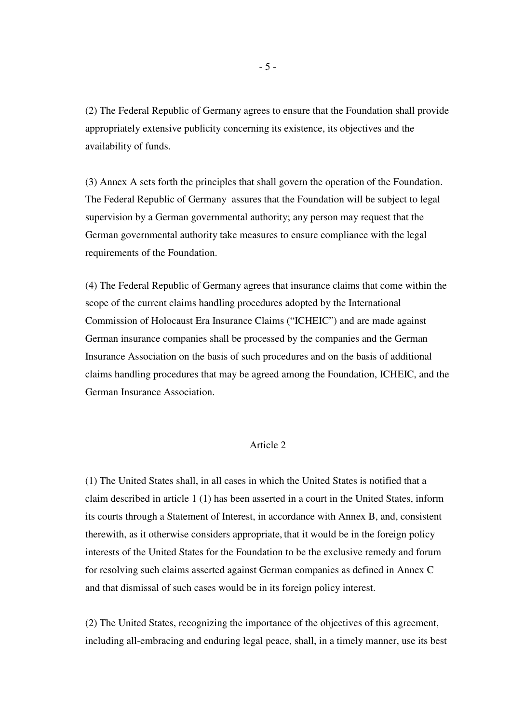(2) The Federal Republic of Germany agrees to ensure that the Foundation shall provide appropriately extensive publicity concerning its existence, its objectives and the availability of funds.

(3) Annex A sets forth the principles that shall govern the operation of the Foundation. The Federal Republic of Germany assures that the Foundation will be subject to legal supervision by a German governmental authority; any person may request that the German governmental authority take measures to ensure compliance with the legal requirements of the Foundation.

(4) The Federal Republic of Germany agrees that insurance claims that come within the scope of the current claims handling procedures adopted by the International Commission of Holocaust Era Insurance Claims ("ICHEIC") and are made against German insurance companies shall be processed by the companies and the German Insurance Association on the basis of such procedures and on the basis of additional claims handling procedures that may be agreed among the Foundation, ICHEIC, and the German Insurance Association.

#### Article 2

(1) The United States shall, in all cases in which the United States is notified that a claim described in article 1 (1) has been asserted in a court in the United States, inform its courts through a Statement of Interest, in accordance with Annex B, and, consistent therewith, as it otherwise considers appropriate, that it would be in the foreign policy interests of the United States for the Foundation to be the exclusive remedy and forum for resolving such claims asserted against German companies as defined in Annex C and that dismissal of such cases would be in its foreign policy interest.

(2) The United States, recognizing the importance of the objectives of this agreement, including all-embracing and enduring legal peace, shall, in a timely manner, use its best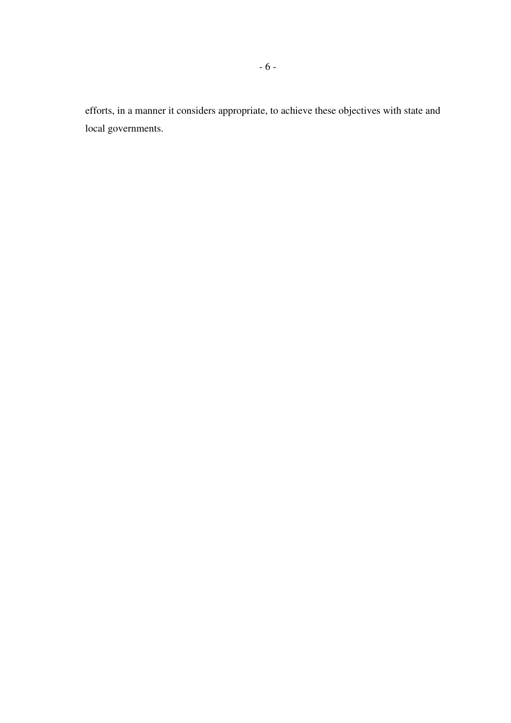efforts, in a manner it considers appropriate, to achieve these objectives with state and local governments.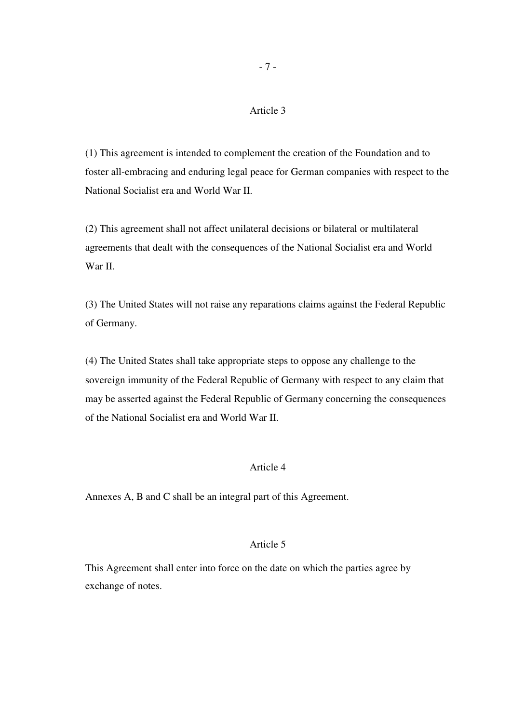### Article 3

(1) This agreement is intended to complement the creation of the Foundation and to foster all-embracing and enduring legal peace for German companies with respect to the National Socialist era and World War II.

(2) This agreement shall not affect unilateral decisions or bilateral or multilateral agreements that dealt with the consequences of the National Socialist era and World War II.

(3) The United States will not raise any reparations claims against the Federal Republic of Germany.

(4) The United States shall take appropriate steps to oppose any challenge to the sovereign immunity of the Federal Republic of Germany with respect to any claim that may be asserted against the Federal Republic of Germany concerning the consequences of the National Socialist era and World War II.

# Article 4

Annexes A, B and C shall be an integral part of this Agreement.

# Article 5

This Agreement shall enter into force on the date on which the parties agree by exchange of notes.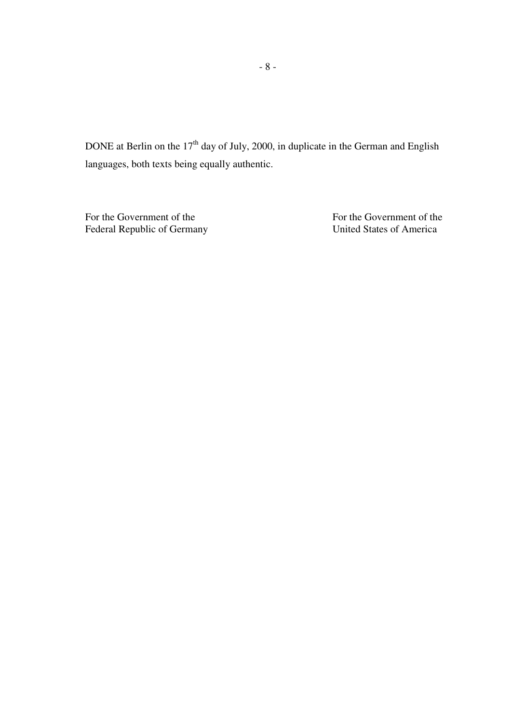DONE at Berlin on the  $17<sup>th</sup>$  day of July, 2000, in duplicate in the German and English languages, both texts being equally authentic.

For the Government of the For the Government of the For the Government of the Federal Republic of Germany Federal Republic of Germany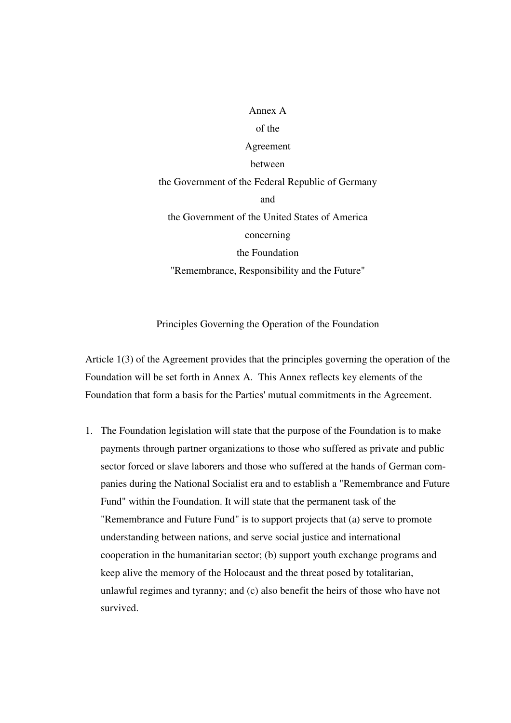Annex A of the Agreement between the Government of the Federal Republic of Germany and the Government of the United States of America concerning the Foundation "Remembrance, Responsibility and the Future"

Principles Governing the Operation of the Foundation

Article 1(3) of the Agreement provides that the principles governing the operation of the Foundation will be set forth in Annex A. This Annex reflects key elements of the Foundation that form a basis for the Parties' mutual commitments in the Agreement.

1. The Foundation legislation will state that the purpose of the Foundation is to make payments through partner organizations to those who suffered as private and public sector forced or slave laborers and those who suffered at the hands of German companies during the National Socialist era and to establish a "Remembrance and Future Fund" within the Foundation. It will state that the permanent task of the "Remembrance and Future Fund" is to support projects that (a) serve to promote understanding between nations, and serve social justice and international cooperation in the humanitarian sector; (b) support youth exchange programs and keep alive the memory of the Holocaust and the threat posed by totalitarian, unlawful regimes and tyranny; and (c) also benefit the heirs of those who have not survived.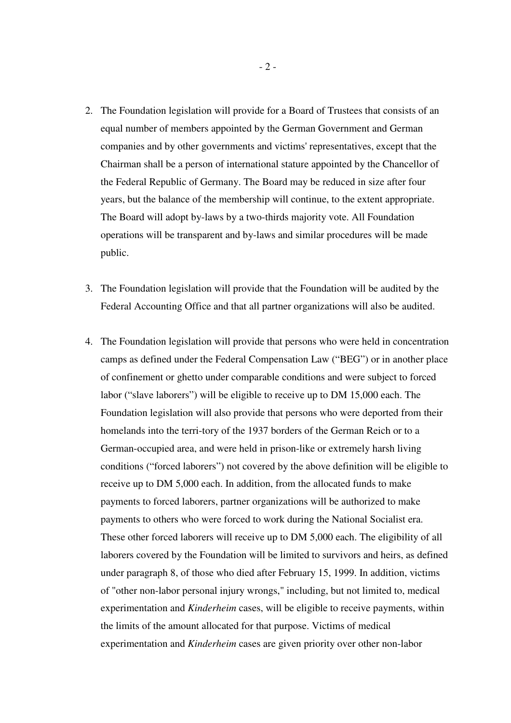- 2. The Foundation legislation will provide for a Board of Trustees that consists of an equal number of members appointed by the German Government and German companies and by other governments and victims' representatives, except that the Chairman shall be a person of international stature appointed by the Chancellor of the Federal Republic of Germany. The Board may be reduced in size after four years, but the balance of the membership will continue, to the extent appropriate. The Board will adopt by-laws by a two-thirds majority vote. All Foundation operations will be transparent and by-laws and similar procedures will be made public.
- 3. The Foundation legislation will provide that the Foundation will be audited by the Federal Accounting Office and that all partner organizations will also be audited.
- 4. The Foundation legislation will provide that persons who were held in concentration camps as defined under the Federal Compensation Law ("BEG") or in another place of confinement or ghetto under comparable conditions and were subject to forced labor ("slave laborers") will be eligible to receive up to DM 15,000 each. The Foundation legislation will also provide that persons who were deported from their homelands into the terri-tory of the 1937 borders of the German Reich or to a German-occupied area, and were held in prison-like or extremely harsh living conditions ("forced laborers") not covered by the above definition will be eligible to receive up to DM 5,000 each. In addition, from the allocated funds to make payments to forced laborers, partner organizations will be authorized to make payments to others who were forced to work during the National Socialist era. These other forced laborers will receive up to DM 5,000 each. The eligibility of all laborers covered by the Foundation will be limited to survivors and heirs, as defined under paragraph 8, of those who died after February 15, 1999. In addition, victims of "other non-labor personal injury wrongs," including, but not limited to, medical experimentation and *Kinderheim* cases, will be eligible to receive payments, within the limits of the amount allocated for that purpose. Victims of medical experimentation and *Kinderheim* cases are given priority over other non-labor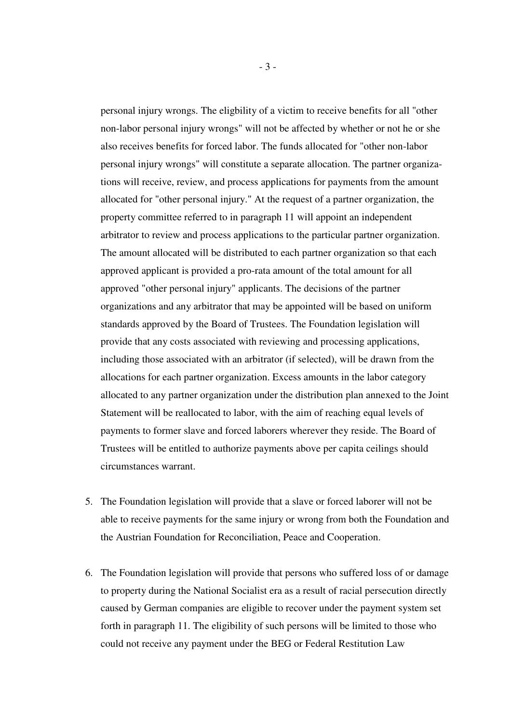personal injury wrongs. The eligbility of a victim to receive benefits for all "other non-labor personal injury wrongs" will not be affected by whether or not he or she also receives benefits for forced labor. The funds allocated for "other non-labor personal injury wrongs" will constitute a separate allocation. The partner organizations will receive, review, and process applications for payments from the amount allocated for "other personal injury." At the request of a partner organization, the property committee referred to in paragraph 11 will appoint an independent arbitrator to review and process applications to the particular partner organization. The amount allocated will be distributed to each partner organization so that each approved applicant is provided a pro-rata amount of the total amount for all approved "other personal injury" applicants. The decisions of the partner organizations and any arbitrator that may be appointed will be based on uniform standards approved by the Board of Trustees. The Foundation legislation will provide that any costs associated with reviewing and processing applications, including those associated with an arbitrator (if selected), will be drawn from the allocations for each partner organization. Excess amounts in the labor category allocated to any partner organization under the distribution plan annexed to the Joint Statement will be reallocated to labor, with the aim of reaching equal levels of payments to former slave and forced laborers wherever they reside. The Board of Trustees will be entitled to authorize payments above per capita ceilings should circumstances warrant.

- 5. The Foundation legislation will provide that a slave or forced laborer will not be able to receive payments for the same injury or wrong from both the Foundation and the Austrian Foundation for Reconciliation, Peace and Cooperation.
- 6. The Foundation legislation will provide that persons who suffered loss of or damage to property during the National Socialist era as a result of racial persecution directly caused by German companies are eligible to recover under the payment system set forth in paragraph 11. The eligibility of such persons will be limited to those who could not receive any payment under the BEG or Federal Restitution Law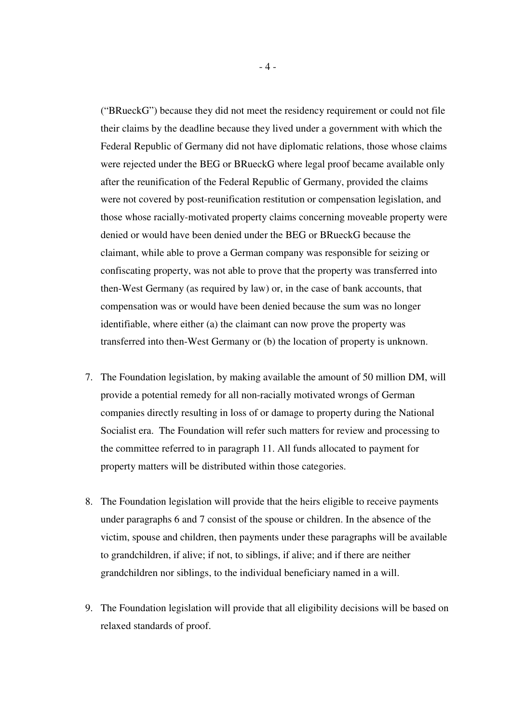("BRueckG") because they did not meet the residency requirement or could not file their claims by the deadline because they lived under a government with which the Federal Republic of Germany did not have diplomatic relations, those whose claims were rejected under the BEG or BRueckG where legal proof became available only after the reunification of the Federal Republic of Germany, provided the claims were not covered by post-reunification restitution or compensation legislation, and those whose racially-motivated property claims concerning moveable property were denied or would have been denied under the BEG or BRueckG because the claimant, while able to prove a German company was responsible for seizing or confiscating property, was not able to prove that the property was transferred into then-West Germany (as required by law) or, in the case of bank accounts, that compensation was or would have been denied because the sum was no longer identifiable, where either (a) the claimant can now prove the property was transferred into then-West Germany or (b) the location of property is unknown.

- 7. The Foundation legislation, by making available the amount of 50 million DM, will provide a potential remedy for all non-racially motivated wrongs of German companies directly resulting in loss of or damage to property during the National Socialist era. The Foundation will refer such matters for review and processing to the committee referred to in paragraph 11. All funds allocated to payment for property matters will be distributed within those categories.
- 8. The Foundation legislation will provide that the heirs eligible to receive payments under paragraphs 6 and 7 consist of the spouse or children. In the absence of the victim, spouse and children, then payments under these paragraphs will be available to grandchildren, if alive; if not, to siblings, if alive; and if there are neither grandchildren nor siblings, to the individual beneficiary named in a will.
- 9. The Foundation legislation will provide that all eligibility decisions will be based on relaxed standards of proof.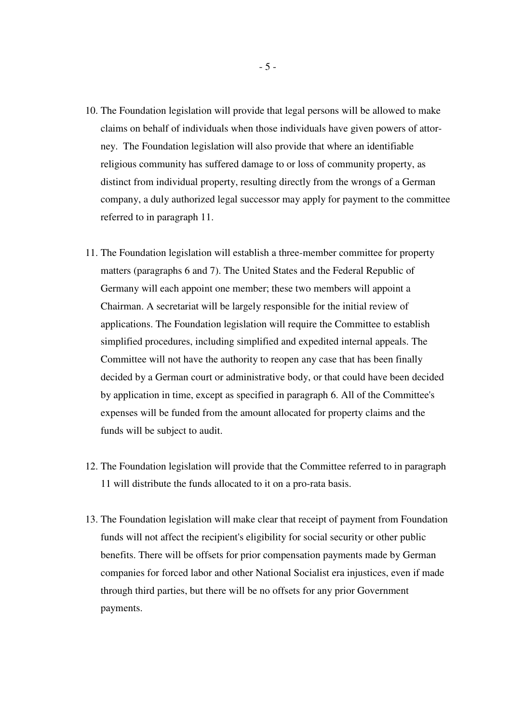- 10. The Foundation legislation will provide that legal persons will be allowed to make claims on behalf of individuals when those individuals have given powers of attorney. The Foundation legislation will also provide that where an identifiable religious community has suffered damage to or loss of community property, as distinct from individual property, resulting directly from the wrongs of a German company, a duly authorized legal successor may apply for payment to the committee referred to in paragraph 11.
- 11. The Foundation legislation will establish a three-member committee for property matters (paragraphs 6 and 7). The United States and the Federal Republic of Germany will each appoint one member; these two members will appoint a Chairman. A secretariat will be largely responsible for the initial review of applications. The Foundation legislation will require the Committee to establish simplified procedures, including simplified and expedited internal appeals. The Committee will not have the authority to reopen any case that has been finally decided by a German court or administrative body, or that could have been decided by application in time, except as specified in paragraph 6. All of the Committee's expenses will be funded from the amount allocated for property claims and the funds will be subject to audit.
- 12. The Foundation legislation will provide that the Committee referred to in paragraph 11 will distribute the funds allocated to it on a pro-rata basis.
- 13. The Foundation legislation will make clear that receipt of payment from Foundation funds will not affect the recipient's eligibility for social security or other public benefits. There will be offsets for prior compensation payments made by German companies for forced labor and other National Socialist era injustices, even if made through third parties, but there will be no offsets for any prior Government payments.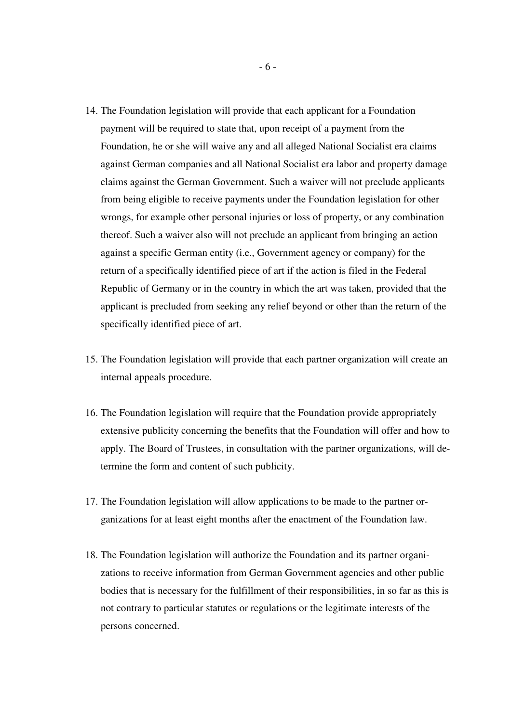- 14. The Foundation legislation will provide that each applicant for a Foundation payment will be required to state that, upon receipt of a payment from the Foundation, he or she will waive any and all alleged National Socialist era claims against German companies and all National Socialist era labor and property damage claims against the German Government. Such a waiver will not preclude applicants from being eligible to receive payments under the Foundation legislation for other wrongs, for example other personal injuries or loss of property, or any combination thereof. Such a waiver also will not preclude an applicant from bringing an action against a specific German entity (i.e., Government agency or company) for the return of a specifically identified piece of art if the action is filed in the Federal Republic of Germany or in the country in which the art was taken, provided that the applicant is precluded from seeking any relief beyond or other than the return of the specifically identified piece of art.
- 15. The Foundation legislation will provide that each partner organization will create an internal appeals procedure.
- 16. The Foundation legislation will require that the Foundation provide appropriately extensive publicity concerning the benefits that the Foundation will offer and how to apply. The Board of Trustees, in consultation with the partner organizations, will determine the form and content of such publicity.
- 17. The Foundation legislation will allow applications to be made to the partner organizations for at least eight months after the enactment of the Foundation law.
- 18. The Foundation legislation will authorize the Foundation and its partner organizations to receive information from German Government agencies and other public bodies that is necessary for the fulfillment of their responsibilities, in so far as this is not contrary to particular statutes or regulations or the legitimate interests of the persons concerned.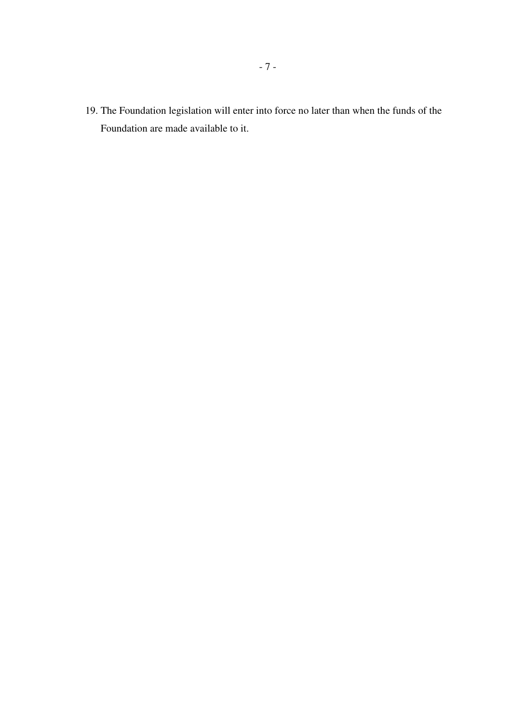19. The Foundation legislation will enter into force no later than when the funds of the Foundation are made available to it.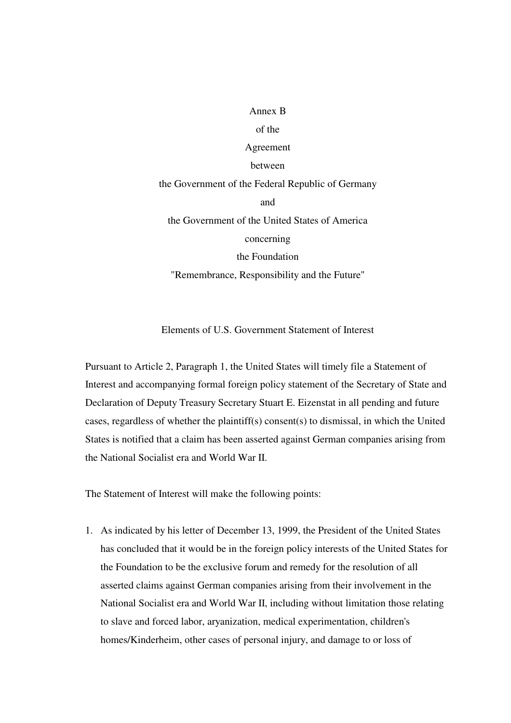Annex B of the Agreement between the Government of the Federal Republic of Germany and the Government of the United States of America concerning the Foundation "Remembrance, Responsibility and the Future"

Elements of U.S. Government Statement of Interest

Pursuant to Article 2, Paragraph 1, the United States will timely file a Statement of Interest and accompanying formal foreign policy statement of the Secretary of State and Declaration of Deputy Treasury Secretary Stuart E. Eizenstat in all pending and future cases, regardless of whether the plaintiff(s) consent(s) to dismissal, in which the United States is notified that a claim has been asserted against German companies arising from the National Socialist era and World War II.

The Statement of Interest will make the following points:

1. As indicated by his letter of December 13, 1999, the President of the United States has concluded that it would be in the foreign policy interests of the United States for the Foundation to be the exclusive forum and remedy for the resolution of all asserted claims against German companies arising from their involvement in the National Socialist era and World War II, including without limitation those relating to slave and forced labor, aryanization, medical experimentation, children's homes/Kinderheim, other cases of personal injury, and damage to or loss of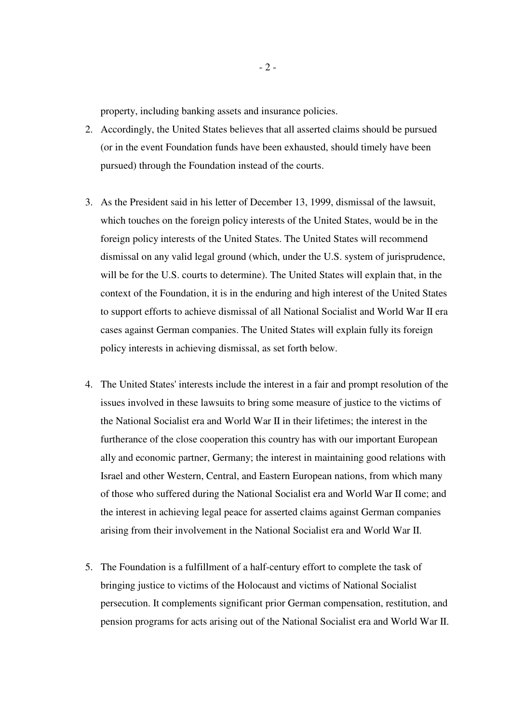property, including banking assets and insurance policies.

- 2. Accordingly, the United States believes that all asserted claims should be pursued (or in the event Foundation funds have been exhausted, should timely have been pursued) through the Foundation instead of the courts.
- 3. As the President said in his letter of December 13, 1999, dismissal of the lawsuit, which touches on the foreign policy interests of the United States, would be in the foreign policy interests of the United States. The United States will recommend dismissal on any valid legal ground (which, under the U.S. system of jurisprudence, will be for the U.S. courts to determine). The United States will explain that, in the context of the Foundation, it is in the enduring and high interest of the United States to support efforts to achieve dismissal of all National Socialist and World War II era cases against German companies. The United States will explain fully its foreign policy interests in achieving dismissal, as set forth below.
- 4. The United States' interests include the interest in a fair and prompt resolution of the issues involved in these lawsuits to bring some measure of justice to the victims of the National Socialist era and World War II in their lifetimes; the interest in the furtherance of the close cooperation this country has with our important European ally and economic partner, Germany; the interest in maintaining good relations with Israel and other Western, Central, and Eastern European nations, from which many of those who suffered during the National Socialist era and World War II come; and the interest in achieving legal peace for asserted claims against German companies arising from their involvement in the National Socialist era and World War II.
- 5. The Foundation is a fulfillment of a half-century effort to complete the task of bringing justice to victims of the Holocaust and victims of National Socialist persecution. It complements significant prior German compensation, restitution, and pension programs for acts arising out of the National Socialist era and World War II.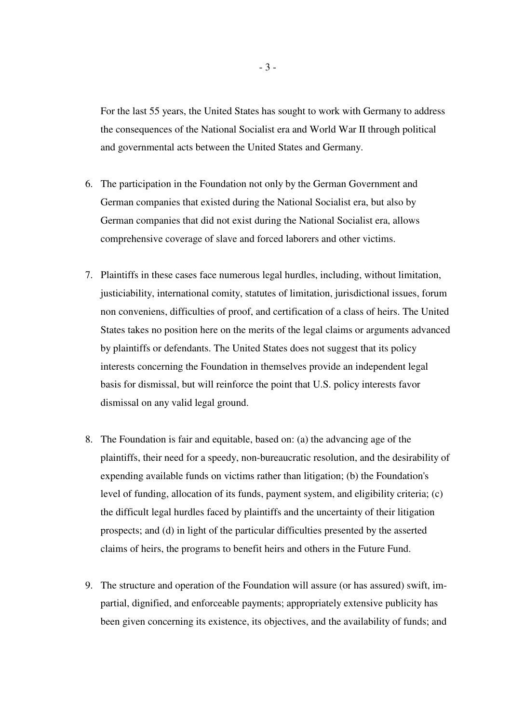For the last 55 years, the United States has sought to work with Germany to address the consequences of the National Socialist era and World War II through political and governmental acts between the United States and Germany.

- 6. The participation in the Foundation not only by the German Government and German companies that existed during the National Socialist era, but also by German companies that did not exist during the National Socialist era, allows comprehensive coverage of slave and forced laborers and other victims.
- 7. Plaintiffs in these cases face numerous legal hurdles, including, without limitation, justiciability, international comity, statutes of limitation, jurisdictional issues, forum non conveniens, difficulties of proof, and certification of a class of heirs. The United States takes no position here on the merits of the legal claims or arguments advanced by plaintiffs or defendants. The United States does not suggest that its policy interests concerning the Foundation in themselves provide an independent legal basis for dismissal, but will reinforce the point that U.S. policy interests favor dismissal on any valid legal ground.
- 8. The Foundation is fair and equitable, based on: (a) the advancing age of the plaintiffs, their need for a speedy, non-bureaucratic resolution, and the desirability of expending available funds on victims rather than litigation; (b) the Foundation's level of funding, allocation of its funds, payment system, and eligibility criteria; (c) the difficult legal hurdles faced by plaintiffs and the uncertainty of their litigation prospects; and (d) in light of the particular difficulties presented by the asserted claims of heirs, the programs to benefit heirs and others in the Future Fund.
- 9. The structure and operation of the Foundation will assure (or has assured) swift, impartial, dignified, and enforceable payments; appropriately extensive publicity has been given concerning its existence, its objectives, and the availability of funds; and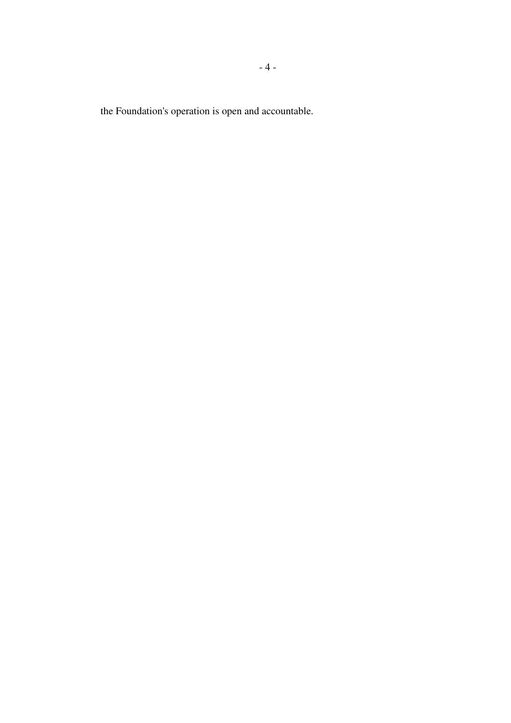the Foundation's operation is open and accountable.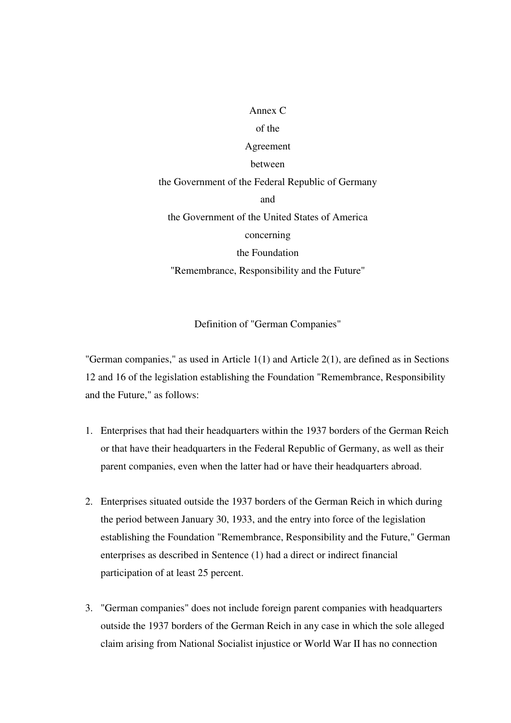Annex C of the Agreement between the Government of the Federal Republic of Germany and the Government of the United States of America concerning the Foundation "Remembrance, Responsibility and the Future"

Definition of "German Companies"

"German companies," as used in Article 1(1) and Article 2(1), are defined as in Sections 12 and 16 of the legislation establishing the Foundation "Remembrance, Responsibility and the Future," as follows:

- 1. Enterprises that had their headquarters within the 1937 borders of the German Reich or that have their headquarters in the Federal Republic of Germany, as well as their parent companies, even when the latter had or have their headquarters abroad.
- 2. Enterprises situated outside the 1937 borders of the German Reich in which during the period between January 30, 1933, and the entry into force of the legislation establishing the Foundation "Remembrance, Responsibility and the Future," German enterprises as described in Sentence (1) had a direct or indirect financial participation of at least 25 percent.
- 3. "German companies" does not include foreign parent companies with headquarters outside the 1937 borders of the German Reich in any case in which the sole alleged claim arising from National Socialist injustice or World War II has no connection